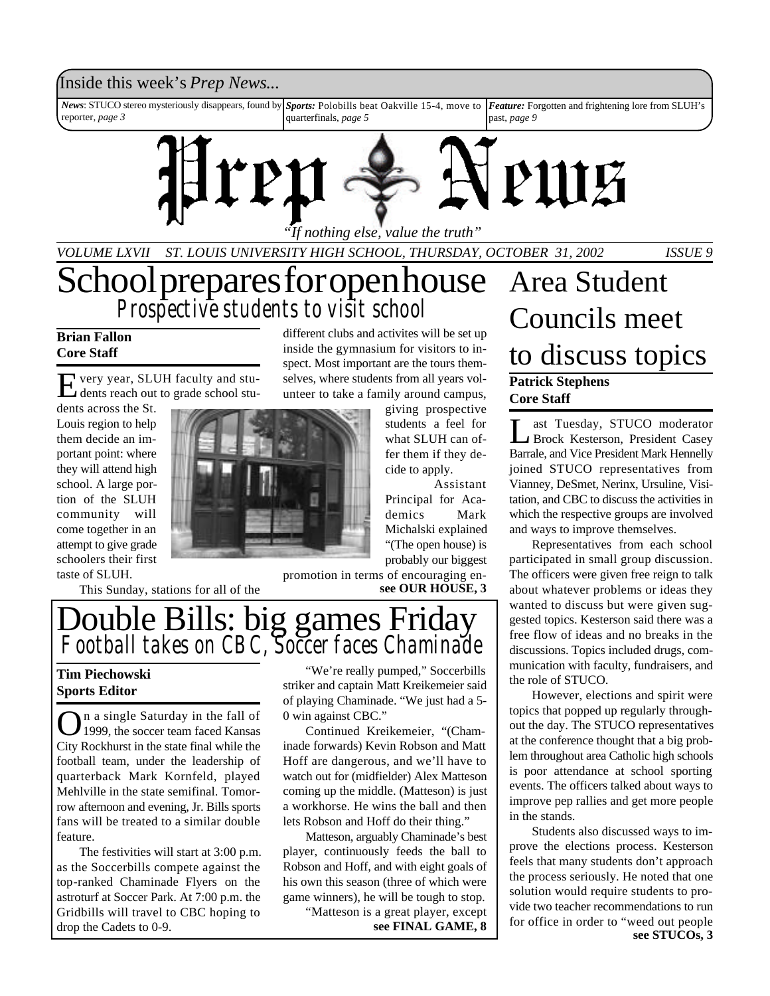### Inside this week's *Prep News*...

*News*: STUCO stereo mysteriously disappears, found by reporter, *page 3 Sports:* Polobills beat Oakville 15-4, move to quarterfinals, *page 5 Feature:* Forgotten and frightening lore from SLUH's past, *page 9*



*"If nothing else, value the truth"*

*VOLUME LXVII ST. LOUIS UNIVERSITY HIGH SCHOOL, THURSDAY, OCTOBER 31, 2002 ISSUE 9*

## School prepares for open house *Prospective students to visit school*

### **Brian Fallon Core Staff**

E very year, SLUH faculty and students reach out to grade school stu-

dents across the St. Louis region to help them decide an important point: where they will attend high school. A large portion of the SLUH community will come together in an attempt to give grade schoolers their first taste of SLUH.

This Sunday, stations for all of the

different clubs and activites will be set up inside the gymnasium for visitors to inspect. Most important are the tours themselves, where students from all years volunteer to take a family around campus,

giving prospective students a feel for what SLUH can offer them if they decide to apply.

Assistant Principal for Academics Mark Michalski explained "(The open house) is probably our biggest

promotion in terms of encouraging en**see OUR HOUSE, 3**

## Double Bills: big games Friday *Football takes on CBC, Soccer faces Chaminade*

### **Tim Piechowski Sports Editor**

O n a single Saturday in the fall of 1999, the soccer team faced Kansas City Rockhurst in the state final while the football team, under the leadership of quarterback Mark Kornfeld, played Mehlville in the state semifinal. Tomorrow afternoon and evening, Jr. Bills sports fans will be treated to a similar double feature.

The festivities will start at 3:00 p.m. as the Soccerbills compete against the top*-*ranked Chaminade Flyers on the astroturf at Soccer Park. At 7:00 p.m. the Gridbills will travel to CBC hoping to drop the Cadets to 0-9.

"We're really pumped," Soccerbills striker and captain Matt Kreikemeier said of playing Chaminade. "We just had a 5- 0 win against CBC."

Continued Kreikemeier, "(Chaminade forwards) Kevin Robson and Matt Hoff are dangerous, and we'll have to watch out for (midfielder) Alex Matteson coming up the middle. (Matteson) is just a workhorse. He wins the ball and then lets Robson and Hoff do their thing."

Matteson, arguably Chaminade's best player, continuously feeds the ball to Robson and Hoff, and with eight goals of his own this season (three of which were game winners), he will be tough to stop.

"Matteson is a great player, except

## **Patrick Stephens Core Staff** Area Student Councils meet to discuss topics

 $\overline{\mathsf{L}}$ ast Tuesday, STUCO moderator Brock Kesterson, President Casey Barrale, and Vice President Mark Hennelly joined STUCO representatives from Vianney, DeSmet, Nerinx, Ursuline, Visitation, and CBC to discuss the activities in which the respective groups are involved and ways to improve themselves.

Representatives from each school participated in small group discussion. The officers were given free reign to talk about whatever problems or ideas they wanted to discuss but were given suggested topics. Kesterson said there was a free flow of ideas and no breaks in the discussions. Topics included drugs, communication with faculty, fundraisers, and the role of STUCO.

However, elections and spirit were topics that popped up regularly throughout the day. The STUCO representatives at the conference thought that a big problem throughout area Catholic high schools is poor attendance at school sporting events. The officers talked about ways to improve pep rallies and get more people in the stands.

Students also discussed ways to improve the elections process. Kesterson feels that many students don't approach the process seriously. He noted that one solution would require students to provide two teacher recommendations to run for office in order to "weed out people **see FINAL GAME, 8 or** office in order to "weed out people<br>**see STUCOs, 3**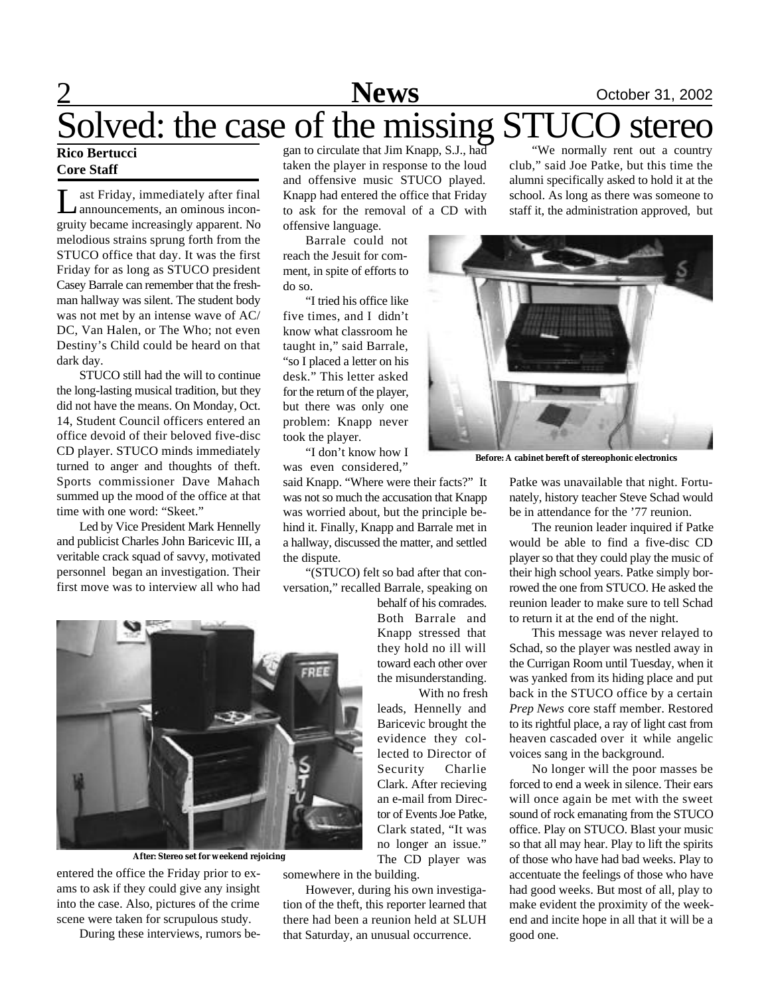# 2 **News** October 31, 2002 Solved: the case of the missing STUCO stereo

### **Rico Bertucci Core Staff**

L ast Friday, immediately after final announcements, an ominous incongruity became increasingly apparent. No melodious strains sprung forth from the STUCO office that day. It was the first Friday for as long as STUCO president Casey Barrale can remember that the freshman hallway was silent. The student body was not met by an intense wave of AC/ DC, Van Halen, or The Who; not even Destiny's Child could be heard on that dark day.

STUCO still had the will to continue the long-lasting musical tradition, but they did not have the means. On Monday, Oct. 14, Student Council officers entered an office devoid of their beloved five-disc CD player. STUCO minds immediately turned to anger and thoughts of theft. Sports commissioner Dave Mahach summed up the mood of the office at that time with one word: "Skeet."

Led by Vice President Mark Hennelly and publicist Charles John Baricevic III, a veritable crack squad of savvy, motivated personnel began an investigation. Their first move was to interview all who had

gan to circulate that Jim Knapp, S.J., had taken the player in response to the loud and offensive music STUCO played. Knapp had entered the office that Friday to ask for the removal of a CD with offensive language.

Barrale could not reach the Jesuit for comment, in spite of efforts to do so.

"I tried his office like five times, and I didn't know what classroom he taught in," said Barrale, "so I placed a letter on his desk." This letter asked for the return of the player, but there was only one problem: Knapp never took the player.

"I don't know how I was even considered,"

said Knapp. "Where were their facts?" It was not so much the accusation that Knapp was worried about, but the principle behind it. Finally, Knapp and Barrale met in a hallway, discussed the matter, and settled the dispute.

"(STUCO) felt so bad after that conversation," recalled Barrale, speaking on

> behalf of his comrades. Both Barrale and Knapp stressed that they hold no ill will toward each other over the misunderstanding. With no fresh

leads, Hennelly and Baricevic brought the evidence they collected to Director of Security Charlie Clark. After recieving an e-mail from Director of Events Joe Patke, Clark stated, "It was no longer an issue." The CD player was

somewhere in the building.

However, during his own investigation of the theft, this reporter learned that there had been a reunion held at SLUH that Saturday, an unusual occurrence.

"We normally rent out a country club," said Joe Patke, but this time the alumni specifically asked to hold it at the school. As long as there was someone to staff it, the administration approved, but



**Before: A cabinet bereft of stereophonic electronics**

Patke was unavailable that night. Fortunately, history teacher Steve Schad would be in attendance for the '77 reunion.

The reunion leader inquired if Patke would be able to find a five-disc CD player so that they could play the music of their high school years. Patke simply borrowed the one from STUCO. He asked the reunion leader to make sure to tell Schad to return it at the end of the night.

This message was never relayed to Schad, so the player was nestled away in the Currigan Room until Tuesday, when it was yanked from its hiding place and put back in the STUCO office by a certain *Prep News* core staff member. Restored to its rightful place, a ray of light cast from heaven cascaded over it while angelic voices sang in the background.

No longer will the poor masses be forced to end a week in silence. Their ears will once again be met with the sweet sound of rock emanating from the STUCO office. Play on STUCO. Blast your music so that all may hear. Play to lift the spirits of those who have had bad weeks. Play to accentuate the feelings of those who have had good weeks. But most of all, play to make evident the proximity of the weekend and incite hope in all that it will be a good one.



**After: Stereo set for weekend rejoicing**

entered the office the Friday prior to exams to ask if they could give any insight into the case. Also, pictures of the crime scene were taken for scrupulous study.

During these interviews, rumors be-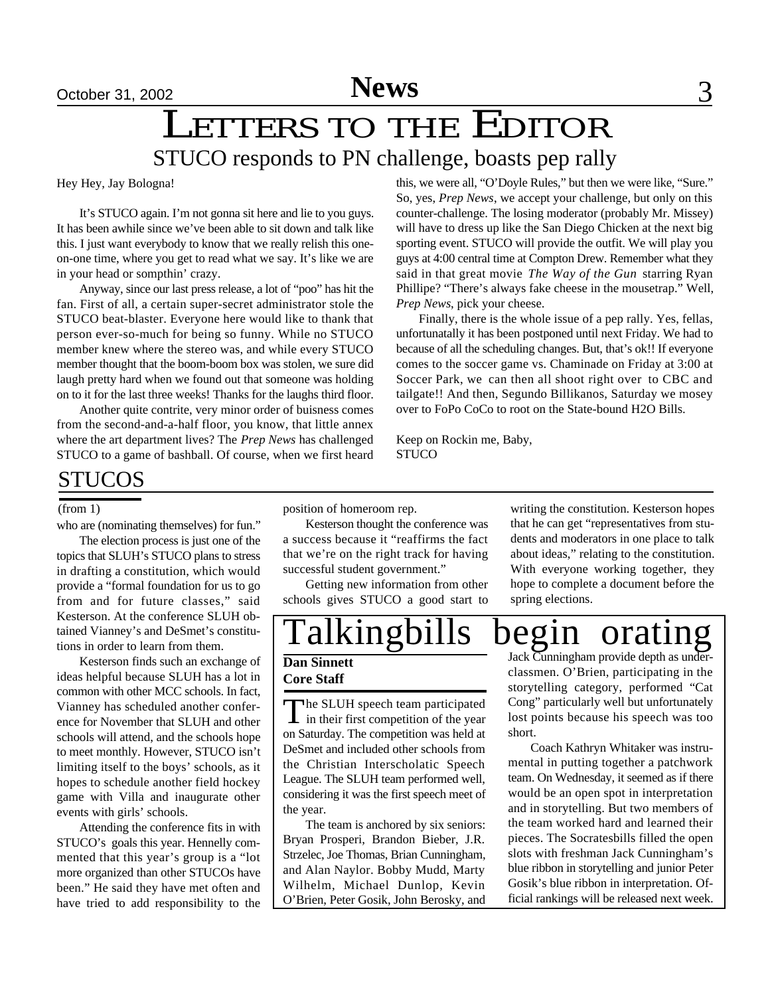# October 31, 2002<br>
LETTERS TO THE EDITOR STUCO responds to PN challenge, boasts pep rally

Hey Hey, Jay Bologna!

It's STUCO again. I'm not gonna sit here and lie to you guys. It has been awhile since we've been able to sit down and talk like this. I just want everybody to know that we really relish this oneon-one time, where you get to read what we say. It's like we are in your head or sompthin' crazy.

Anyway, since our last press release, a lot of "poo" has hit the fan. First of all, a certain super-secret administrator stole the STUCO beat-blaster. Everyone here would like to thank that person ever-so-much for being so funny. While no STUCO member knew where the stereo was, and while every STUCO member thought that the boom-boom box was stolen, we sure did laugh pretty hard when we found out that someone was holding on to it for the last three weeks! Thanks for the laughs third floor.

Another quite contrite, very minor order of buisness comes from the second-and-a-half floor, you know, that little annex where the art department lives? The *Prep News* has challenged STUCO to a game of bashball. Of course, when we first heard this, we were all, "O'Doyle Rules," but then we were like, "Sure." So, yes, *Prep News*, we accept your challenge, but only on this counter-challenge. The losing moderator (probably Mr. Missey) will have to dress up like the San Diego Chicken at the next big sporting event. STUCO will provide the outfit. We will play you guys at 4:00 central time at Compton Drew. Remember what they said in that great movie *The Way of the Gun* starring Ryan Phillipe? "There's always fake cheese in the mousetrap." Well, *Prep News*, pick your cheese.

Finally, there is the whole issue of a pep rally. Yes, fellas, unfortunatally it has been postponed until next Friday. We had to because of all the scheduling changes. But, that's ok!! If everyone comes to the soccer game vs. Chaminade on Friday at 3:00 at Soccer Park, we can then all shoot right over to CBC and tailgate!! And then, Segundo Billikanos, Saturday we mosey over to FoPo CoCo to root on the State-bound H2O Bills.

Keep on Rockin me, Baby, **STUCO** 

### STUCOS

who are (nominating themselves) for fun."

The election process is just one of the topics that SLUH's STUCO plans to stress in drafting a constitution, which would provide a "formal foundation for us to go from and for future classes," said Kesterson. At the conference SLUH obtained Vianney's and DeSmet's constitutions in order to learn from them.

Kesterson finds such an exchange of ideas helpful because SLUH has a lot in common with other MCC schools. In fact, Vianney has scheduled another conference for November that SLUH and other schools will attend, and the schools hope to meet monthly. However, STUCO isn't limiting itself to the boys' schools, as it hopes to schedule another field hockey game with Villa and inaugurate other events with girls' schools.

Attending the conference fits in with STUCO's goals this year. Hennelly commented that this year's group is a "lot more organized than other STUCOs have been." He said they have met often and have tried to add responsibility to the

(from 1) position of homeroom rep.

Kesterson thought the conference was a success because it "reaffirms the fact that we're on the right track for having successful student government."

Getting new information from other schools gives STUCO a good start to

writing the constitution. Kesterson hopes that he can get "representatives from students and moderators in one place to talk about ideas," relating to the constitution. With everyone working together, they hope to complete a document before the spring elections.

### Talkingbills begin orating Degin orating<br>Jack Cunningham provide depth as under-

### **Dan Sinnett Core Staff**

The SLUH speech team participated<br>in their first competition of the year The SLUH speech team participated on Saturday. The competition was held at DeSmet and included other schools from the Christian Interscholatic Speech League. The SLUH team performed well, considering it was the first speech meet of the year.

The team is anchored by six seniors: Bryan Prosperi, Brandon Bieber, J.R. Strzelec, Joe Thomas, Brian Cunningham, and Alan Naylor. Bobby Mudd, Marty Wilhelm, Michael Dunlop, Kevin O'Brien, Peter Gosik, John Berosky, and

classmen. O'Brien, participating in the storytelling category, performed "Cat Cong" particularly well but unfortunately lost points because his speech was too short.

Coach Kathryn Whitaker was instrumental in putting together a patchwork team. On Wednesday, it seemed as if there would be an open spot in interpretation and in storytelling. But two members of the team worked hard and learned their pieces. The Socratesbills filled the open slots with freshman Jack Cunningham's blue ribbon in storytelling and junior Peter Gosik's blue ribbon in interpretation. Official rankings will be released next week.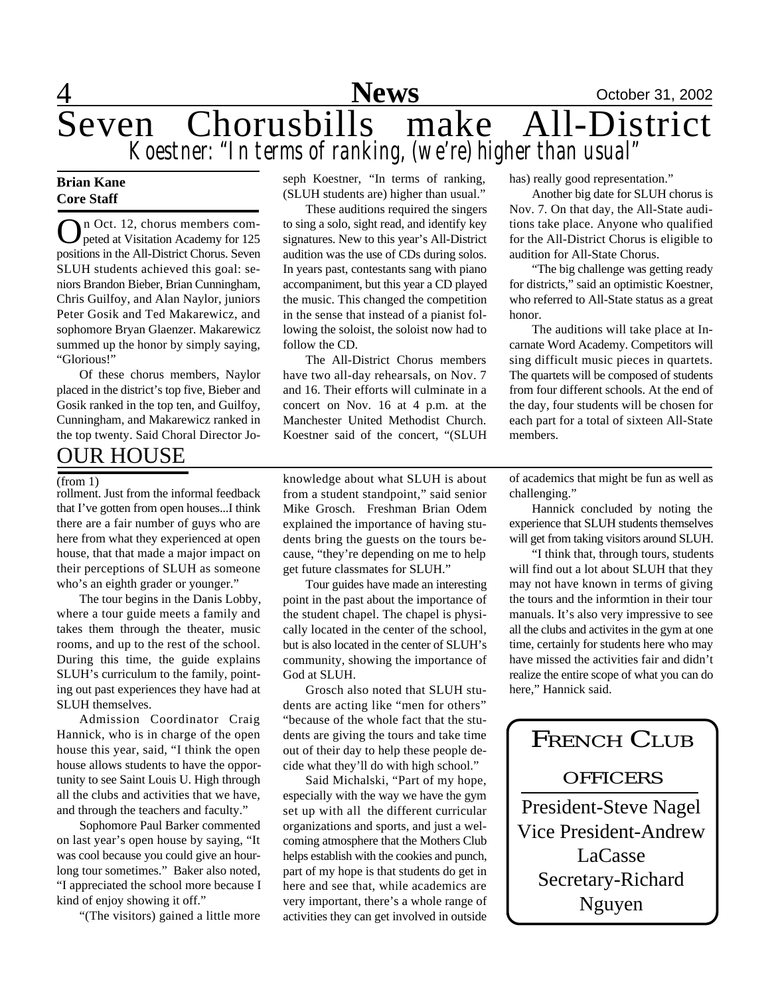

### **Brian Kane Core Staff**

On Oct. 12, chorus members competed at Visitation Academy for 125 n Oct. 12, chorus members compositions in the All-District Chorus. Seven SLUH students achieved this goal: seniors Brandon Bieber, Brian Cunningham, Chris Guilfoy, and Alan Naylor, juniors Peter Gosik and Ted Makarewicz, and sophomore Bryan Glaenzer. Makarewicz summed up the honor by simply saying, "Glorious!"

Of these chorus members, Naylor placed in the district's top five, Bieber and Gosik ranked in the top ten, and Guilfoy, Cunningham, and Makarewicz ranked in the top twenty. Said Choral Director Jo-

### OUR HOUSE

rollment. Just from the informal feedback that I've gotten from open houses...I think there are a fair number of guys who are here from what they experienced at open house, that that made a major impact on their perceptions of SLUH as someone who's an eighth grader or younger."

The tour begins in the Danis Lobby, where a tour guide meets a family and takes them through the theater, music rooms, and up to the rest of the school. During this time, the guide explains SLUH's curriculum to the family, pointing out past experiences they have had at SLUH themselves.

Admission Coordinator Craig Hannick, who is in charge of the open house this year, said, "I think the open house allows students to have the opportunity to see Saint Louis U. High through all the clubs and activities that we have, and through the teachers and faculty."

Sophomore Paul Barker commented on last year's open house by saying, "It was cool because you could give an hourlong tour sometimes." Baker also noted, "I appreciated the school more because I kind of enjoy showing it off."

"(The visitors) gained a little more

seph Koestner, "In terms of ranking, (SLUH students are) higher than usual."

These auditions required the singers to sing a solo, sight read, and identify key signatures. New to this year's All-District audition was the use of CDs during solos. In years past, contestants sang with piano accompaniment, but this year a CD played the music. This changed the competition in the sense that instead of a pianist following the soloist, the soloist now had to follow the CD.

The All-District Chorus members have two all-day rehearsals, on Nov. 7 and 16. Their efforts will culminate in a concert on Nov. 16 at 4 p.m. at the Manchester United Methodist Church. Koestner said of the concert, "(SLUH

(from 1) knowledge about what SLUH is about of academics that might be fun as well as from a student standpoint," said senior Mike Grosch. Freshman Brian Odem explained the importance of having students bring the guests on the tours because, "they're depending on me to help get future classmates for SLUH."

> Tour guides have made an interesting point in the past about the importance of the student chapel. The chapel is physically located in the center of the school, but is also located in the center of SLUH's community, showing the importance of God at SLUH.

> Grosch also noted that SLUH students are acting like "men for others" "because of the whole fact that the students are giving the tours and take time out of their day to help these people decide what they'll do with high school."

> Said Michalski, "Part of my hope, especially with the way we have the gym set up with all the different curricular organizations and sports, and just a welcoming atmosphere that the Mothers Club helps establish with the cookies and punch, part of my hope is that students do get in here and see that, while academics are very important, there's a whole range of activities they can get involved in outside

has) really good representation."

Another big date for SLUH chorus is Nov. 7. On that day, the All-State auditions take place. Anyone who qualified for the All-District Chorus is eligible to audition for All-State Chorus.

"The big challenge was getting ready for districts," said an optimistic Koestner, who referred to All-State status as a great honor.

The auditions will take place at Incarnate Word Academy. Competitors will sing difficult music pieces in quartets. The quartets will be composed of students from four different schools. At the end of the day, four students will be chosen for each part for a total of sixteen All-State members.

challenging."

Hannick concluded by noting the experience that SLUH students themselves will get from taking visitors around SLUH.

"I think that, through tours, students will find out a lot about SLUH that they may not have known in terms of giving the tours and the informtion in their tour manuals. It's also very impressive to see all the clubs and activites in the gym at one time, certainly for students here who may have missed the activities fair and didn't realize the entire scope of what you can do here," Hannick said.

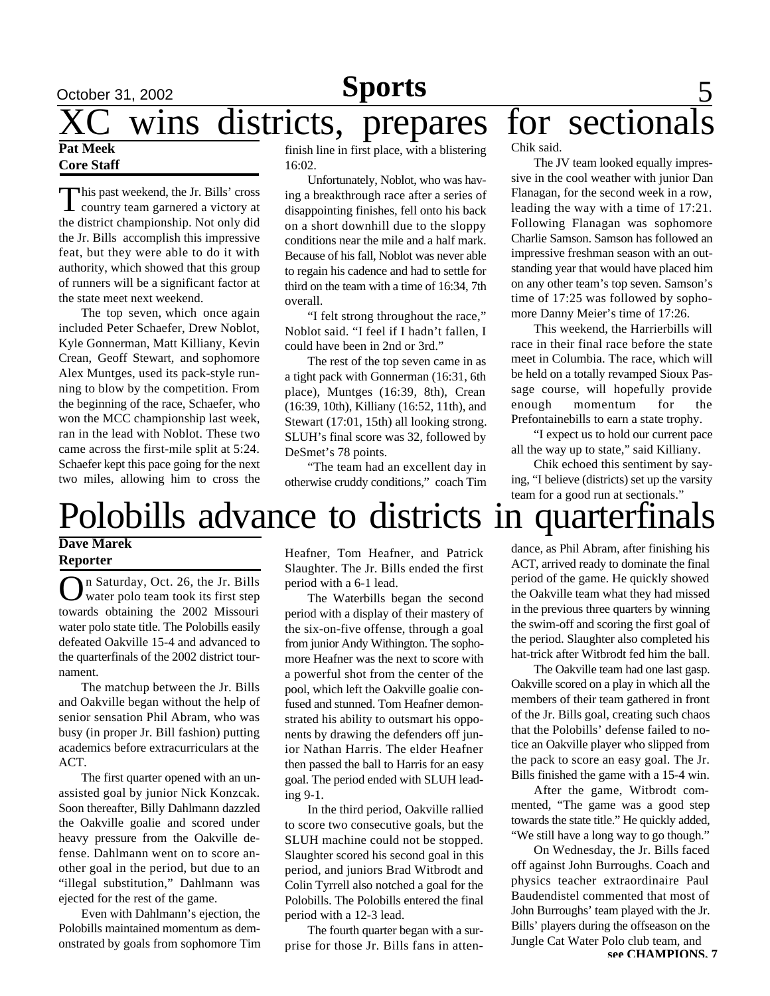## October 31, 2002 **Sports** 5 XC wins districts, prepares for sectionals **Pat Meek**

### **Core Staff**

This past weekend, the Jr. Bills' cross<br>country team garnered a victory at his past weekend, the Jr. Bills' cross the district championship. Not only did the Jr. Bills accomplish this impressive feat, but they were able to do it with authority, which showed that this group of runners will be a significant factor at the state meet next weekend.

The top seven, which once again included Peter Schaefer, Drew Noblot, Kyle Gonnerman, Matt Killiany, Kevin Crean, Geoff Stewart, and sophomore Alex Muntges, used its pack-style running to blow by the competition. From the beginning of the race, Schaefer, who won the MCC championship last week, ran in the lead with Noblot. These two came across the first-mile split at 5:24. Schaefer kept this pace going for the next two miles, allowing him to cross the

finish line in first place, with a blistering 16:02.

Unfortunately, Noblot, who was having a breakthrough race after a series of disappointing finishes, fell onto his back on a short downhill due to the sloppy conditions near the mile and a half mark. Because of his fall, Noblot was never able to regain his cadence and had to settle for third on the team with a time of 16:34, 7th overall.

"I felt strong throughout the race," Noblot said. "I feel if I hadn't fallen, I could have been in 2nd or 3rd."

The rest of the top seven came in as a tight pack with Gonnerman (16:31, 6th place), Muntges (16:39, 8th), Crean (16:39, 10th), Killiany (16:52, 11th), and Stewart (17:01, 15th) all looking strong. SLUH's final score was 32, followed by DeSmet's 78 points.

"The team had an excellent day in otherwise cruddy conditions," coach Tim Chik said.

The JV team looked equally impressive in the cool weather with junior Dan Flanagan, for the second week in a row, leading the way with a time of 17:21. Following Flanagan was sophomore Charlie Samson. Samson has followed an impressive freshman season with an outstanding year that would have placed him on any other team's top seven. Samson's time of 17:25 was followed by sophomore Danny Meier's time of 17:26.

This weekend, the Harrierbills will race in their final race before the state meet in Columbia. The race, which will be held on a totally revamped Sioux Passage course, will hopefully provide enough momentum for the Prefontainebills to earn a state trophy.

"I expect us to hold our current pace all the way up to state," said Killiany.

Chik echoed this sentiment by saying, "I believe (districts) set up the varsity team for a good run at sectionals."

# Polobills advance to districts in quarterfinals

### **Dave Marek Reporter**

O n Saturday, Oct. 26, the Jr. Bills water polo team took its first step towards obtaining the 2002 Missouri water polo state title. The Polobills easily defeated Oakville 15-4 and advanced to the quarterfinals of the 2002 district tournament.

The matchup between the Jr. Bills and Oakville began without the help of senior sensation Phil Abram, who was busy (in proper Jr. Bill fashion) putting academics before extracurriculars at the ACT.

The first quarter opened with an unassisted goal by junior Nick Konzcak. Soon thereafter, Billy Dahlmann dazzled the Oakville goalie and scored under heavy pressure from the Oakville defense. Dahlmann went on to score another goal in the period, but due to an "illegal substitution," Dahlmann was ejected for the rest of the game.

Even with Dahlmann's ejection, the Polobills maintained momentum as demonstrated by goals from sophomore Tim Heafner, Tom Heafner, and Patrick Slaughter. The Jr. Bills ended the first period with a 6-1 lead.

The Waterbills began the second period with a display of their mastery of the six-on-five offense, through a goal from junior Andy Withington. The sophomore Heafner was the next to score with a powerful shot from the center of the pool, which left the Oakville goalie confused and stunned. Tom Heafner demonstrated his ability to outsmart his opponents by drawing the defenders off junior Nathan Harris. The elder Heafner then passed the ball to Harris for an easy goal. The period ended with SLUH leading 9-1.

In the third period, Oakville rallied to score two consecutive goals, but the SLUH machine could not be stopped. Slaughter scored his second goal in this period, and juniors Brad Witbrodt and Colin Tyrrell also notched a goal for the Polobills. The Polobills entered the final period with a 12-3 lead.

The fourth quarter began with a surprise for those Jr. Bills fans in attendance, as Phil Abram, after finishing his ACT, arrived ready to dominate the final period of the game. He quickly showed the Oakville team what they had missed in the previous three quarters by winning the swim-off and scoring the first goal of the period. Slaughter also completed his hat-trick after Witbrodt fed him the ball.

The Oakville team had one last gasp. Oakville scored on a play in which all the members of their team gathered in front of the Jr. Bills goal, creating such chaos that the Polobills' defense failed to notice an Oakville player who slipped from the pack to score an easy goal. The Jr. Bills finished the game with a 15-4 win.

After the game, Witbrodt commented, "The game was a good step towards the state title." He quickly added, "We still have a long way to go though."

On Wednesday, the Jr. Bills faced off against John Burroughs. Coach and physics teacher extraordinaire Paul Baudendistel commented that most of John Burroughs' team played with the Jr. Bills' players during the offseason on the Jungle Cat Water Polo club team, and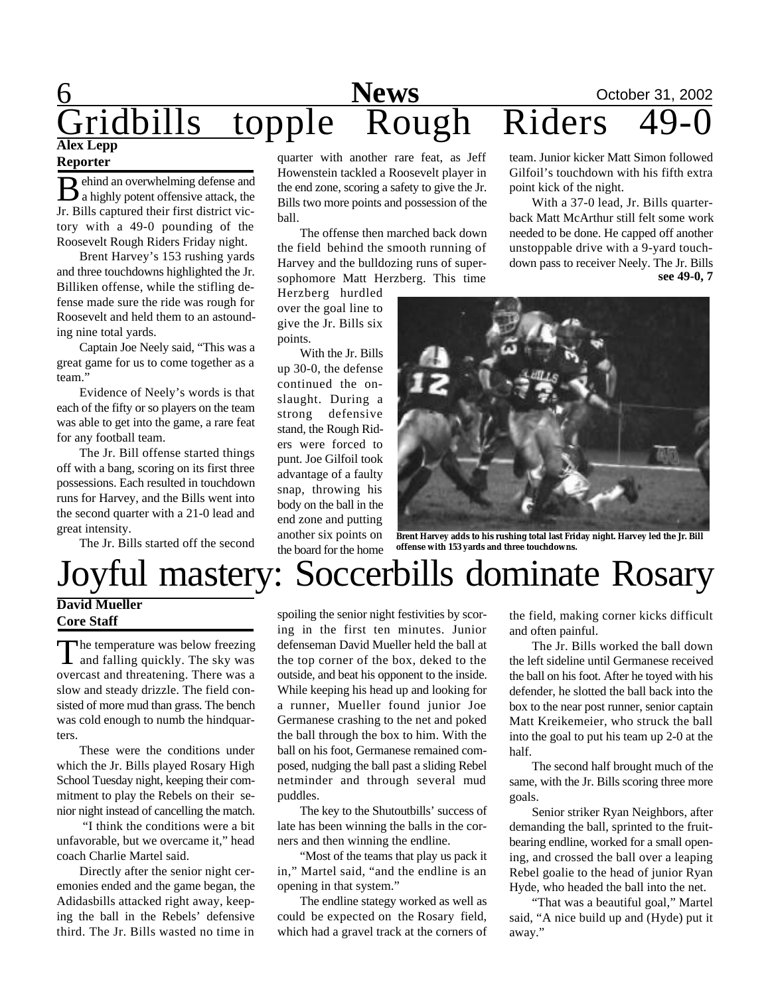### 6 **News** October 31, 2002 Gridbills topple Rough Riders **Alex Lepp Reporter**

**B** ehind an overwhelming defense and<br>a highly potent offensive attack, the ehind an overwhelming defense and Jr. Bills captured their first district victory with a 49-0 pounding of the Roosevelt Rough Riders Friday night.

Brent Harvey's 153 rushing yards and three touchdowns highlighted the Jr. Billiken offense, while the stifling defense made sure the ride was rough for Roosevelt and held them to an astounding nine total yards.

Captain Joe Neely said, "This was a great game for us to come together as a team."

Evidence of Neely's words is that each of the fifty or so players on the team was able to get into the game, a rare feat for any football team.

The Jr. Bill offense started things off with a bang, scoring on its first three possessions. Each resulted in touchdown runs for Harvey, and the Bills went into the second quarter with a 21-0 lead and great intensity.

The Jr. Bills started off the second

### **David Mueller Core Staff**

The temperature was below freezing<br>and falling quickly. The sky was he temperature was below freezing overcast and threatening. There was a slow and steady drizzle. The field consisted of more mud than grass. The bench was cold enough to numb the hindquarters.

These were the conditions under which the Jr. Bills played Rosary High School Tuesday night, keeping their commitment to play the Rebels on their senior night instead of cancelling the match.

 "I think the conditions were a bit unfavorable, but we overcame it," head coach Charlie Martel said.

Directly after the senior night ceremonies ended and the game began, the Adidasbills attacked right away, keeping the ball in the Rebels' defensive third. The Jr. Bills wasted no time in quarter with another rare feat, as Jeff Howenstein tackled a Roosevelt player in the end zone, scoring a safety to give the Jr. Bills two more points and possession of the ball.

The offense then marched back down the field behind the smooth running of Harvey and the bulldozing runs of supersophomore Matt Herzberg. This time

Herzberg hurdled over the goal line to give the Jr. Bills six points.

With the Jr. Bills up 30-0, the defense continued the onslaught. During a strong defensive stand, the Rough Riders were forced to punt. Joe Gilfoil took advantage of a faulty snap, throwing his body on the ball in the end zone and putting another six points on the board for the home

team. Junior kicker Matt Simon followed Gilfoil's touchdown with his fifth extra point kick of the night.

With a 37-0 lead, Jr. Bills quarterback Matt McArthur still felt some work needed to be done. He capped off another unstoppable drive with a 9-yard touchdown pass to receiver Neely. The Jr. Bills **see 49-0, 7**



**Brent Harvey adds to his rushing total last Friday night. Harvey led the Jr. Bill offense with 153 yards and three touchdowns.**

# Joyful mastery: Soccerbills dominate Rosary

spoiling the senior night festivities by scoring in the first ten minutes. Junior defenseman David Mueller held the ball at the top corner of the box, deked to the outside, and beat his opponent to the inside. While keeping his head up and looking for a runner, Mueller found junior Joe Germanese crashing to the net and poked the ball through the box to him. With the ball on his foot, Germanese remained composed, nudging the ball past a sliding Rebel netminder and through several mud puddles.

The key to the Shutoutbills' success of late has been winning the balls in the corners and then winning the endline.

"Most of the teams that play us pack it in," Martel said, "and the endline is an opening in that system."

The endline stategy worked as well as could be expected on the Rosary field, which had a gravel track at the corners of the field, making corner kicks difficult and often painful.

The Jr. Bills worked the ball down the left sideline until Germanese received the ball on his foot. After he toyed with his defender, he slotted the ball back into the box to the near post runner, senior captain Matt Kreikemeier, who struck the ball into the goal to put his team up 2-0 at the half.

The second half brought much of the same, with the Jr. Bills scoring three more goals.

Senior striker Ryan Neighbors, after demanding the ball, sprinted to the fruitbearing endline, worked for a small opening, and crossed the ball over a leaping Rebel goalie to the head of junior Ryan Hyde, who headed the ball into the net.

"That was a beautiful goal," Martel said, "A nice build up and (Hyde) put it away."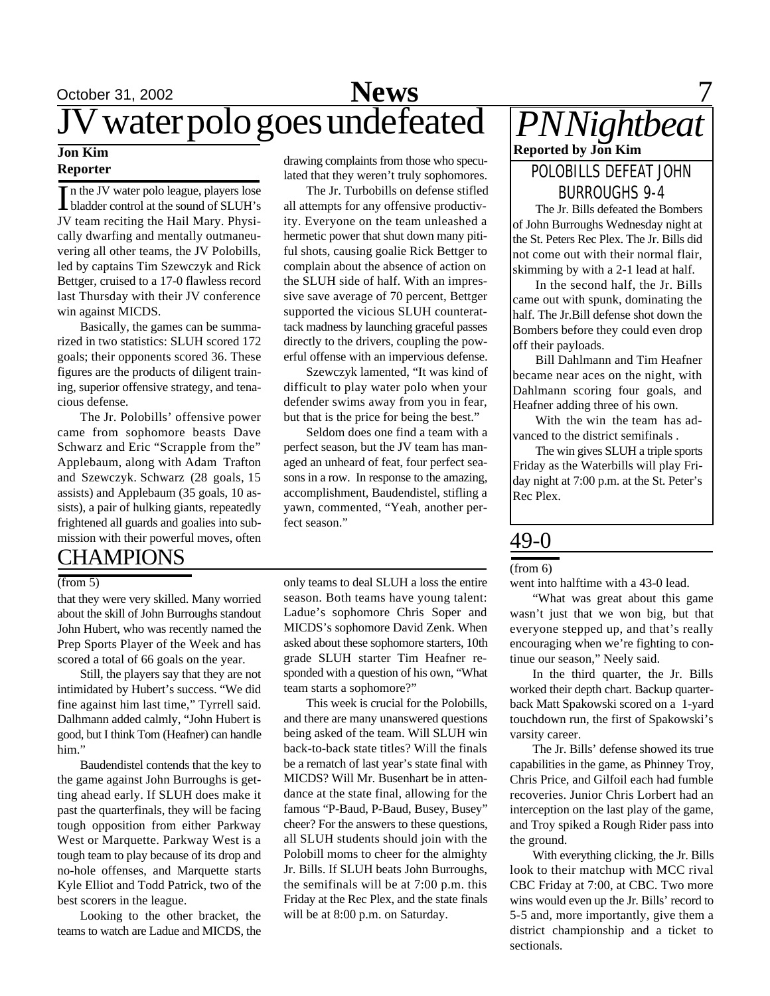## October 31, 2002 **News** 7 JV water polo goes undefeated

### **Jon Kim Reporter**

In the JV water polo league, players lose<br>bladder control at the sound of SLUH's n the JV water polo league, players lose JV team reciting the Hail Mary. Physically dwarfing and mentally outmaneuvering all other teams, the JV Polobills, led by captains Tim Szewczyk and Rick Bettger, cruised to a 17-0 flawless record last Thursday with their JV conference win against MICDS.

Basically, the games can be summarized in two statistics: SLUH scored 172 goals; their opponents scored 36. These figures are the products of diligent training, superior offensive strategy, and tenacious defense.

The Jr. Polobills' offensive power came from sophomore beasts Dave Schwarz and Eric "Scrapple from the" Applebaum, along with Adam Trafton and Szewczyk. Schwarz (28 goals, 15 assists) and Applebaum (35 goals, 10 assists), a pair of hulking giants, repeatedly frightened all guards and goalies into submission with their powerful moves, often

### **CHAMPIONS**

### (from 5)

that they were very skilled. Many worried about the skill of John Burroughs standout John Hubert, who was recently named the Prep Sports Player of the Week and has scored a total of 66 goals on the year.

Still, the players say that they are not intimidated by Hubert's success. "We did fine against him last time," Tyrrell said. Dalhmann added calmly, "John Hubert is good, but I think Tom (Heafner) can handle him."

Baudendistel contends that the key to the game against John Burroughs is getting ahead early. If SLUH does make it past the quarterfinals, they will be facing tough opposition from either Parkway West or Marquette. Parkway West is a tough team to play because of its drop and no-hole offenses, and Marquette starts Kyle Elliot and Todd Patrick, two of the best scorers in the league.

Looking to the other bracket, the teams to watch are Ladue and MICDS, the drawing complaints from those who speculated that they weren't truly sophomores.

The Jr. Turbobills on defense stifled all attempts for any offensive productivity. Everyone on the team unleashed a hermetic power that shut down many pitiful shots, causing goalie Rick Bettger to complain about the absence of action on the SLUH side of half. With an impressive save average of 70 percent, Bettger supported the vicious SLUH counterattack madness by launching graceful passes directly to the drivers, coupling the powerful offense with an impervious defense.

Szewczyk lamented, "It was kind of difficult to play water polo when your defender swims away from you in fear, but that is the price for being the best."

Seldom does one find a team with a perfect season, but the JV team has managed an unheard of feat, four perfect seasons in a row. In response to the amazing, accomplishment, Baudendistel, stifling a yawn, commented, "Yeah, another perfect season."

only teams to deal SLUH a loss the entire season. Both teams have young talent: Ladue's sophomore Chris Soper and MICDS's sophomore David Zenk. When asked about these sophomore starters, 10th grade SLUH starter Tim Heafner responded with a question of his own, "What team starts a sophomore?"

This week is crucial for the Polobills, and there are many unanswered questions being asked of the team. Will SLUH win back-to-back state titles? Will the finals be a rematch of last year's state final with MICDS? Will Mr. Busenhart be in attendance at the state final, allowing for the famous "P-Baud, P-Baud, Busey, Busey" cheer? For the answers to these questions, all SLUH students should join with the Polobill moms to cheer for the almighty Jr. Bills. If SLUH beats John Burroughs, the semifinals will be at 7:00 p.m. this Friday at the Rec Plex, and the state finals will be at 8:00 p.m. on Saturday.

## *PN Nightbeat*  **Reported by Jon Kim** POLOBILLS DEFEAT JOHN

BURROUGHS 9-4 The Jr. Bills defeated the Bombers of John Burroughs Wednesday night at the St. Peters Rec Plex. The Jr. Bills did not come out with their normal flair, skimming by with a 2-1 lead at half.

In the second half, the Jr. Bills came out with spunk, dominating the half. The Jr.Bill defense shot down the Bombers before they could even drop off their payloads.

Bill Dahlmann and Tim Heafner became near aces on the night, with Dahlmann scoring four goals, and Heafner adding three of his own.

With the win the team has advanced to the district semifinals .

The win gives SLUH a triple sports Friday as the Waterbills will play Friday night at 7:00 p.m. at the St. Peter's Rec Plex.

### 49-0

#### (from 6)

went into halftime with a 43-0 lead.

"What was great about this game wasn't just that we won big, but that everyone stepped up, and that's really encouraging when we're fighting to continue our season," Neely said.

In the third quarter, the Jr. Bills worked their depth chart. Backup quarterback Matt Spakowski scored on a 1-yard touchdown run, the first of Spakowski's varsity career.

The Jr. Bills' defense showed its true capabilities in the game, as Phinney Troy, Chris Price, and Gilfoil each had fumble recoveries. Junior Chris Lorbert had an interception on the last play of the game, and Troy spiked a Rough Rider pass into the ground.

With everything clicking, the Jr. Bills look to their matchup with MCC rival CBC Friday at 7:00, at CBC. Two more wins would even up the Jr. Bills' record to 5-5 and, more importantly, give them a district championship and a ticket to sectionals.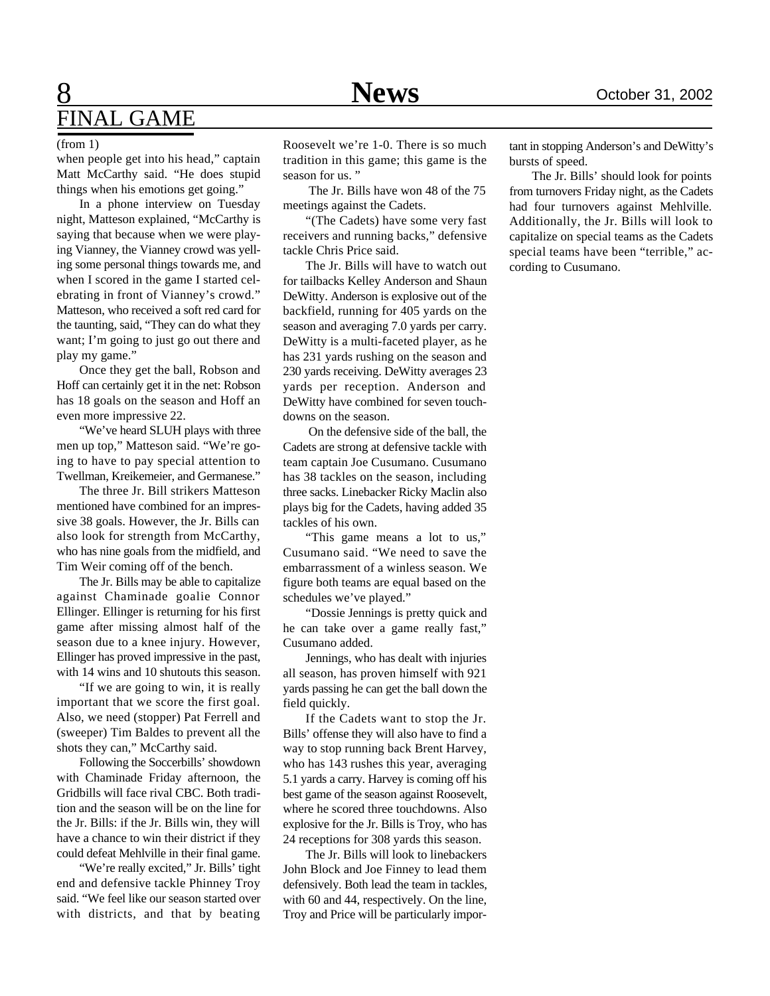## 8 **News** October 31, 2002 FINAL GAME

#### (from 1)

when people get into his head," captain Matt McCarthy said. "He does stupid things when his emotions get going."

In a phone interview on Tuesday night, Matteson explained, "McCarthy is saying that because when we were playing Vianney, the Vianney crowd was yelling some personal things towards me, and when I scored in the game I started celebrating in front of Vianney's crowd." Matteson, who received a soft red card for the taunting, said, "They can do what they want; I'm going to just go out there and play my game."

Once they get the ball, Robson and Hoff can certainly get it in the net: Robson has 18 goals on the season and Hoff an even more impressive 22.

"We've heard SLUH plays with three men up top," Matteson said. "We're going to have to pay special attention to Twellman, Kreikemeier, and Germanese."

The three Jr. Bill strikers Matteson mentioned have combined for an impressive 38 goals. However, the Jr. Bills can also look for strength from McCarthy, who has nine goals from the midfield, and Tim Weir coming off of the bench.

The Jr. Bills may be able to capitalize against Chaminade goalie Connor Ellinger. Ellinger is returning for his first game after missing almost half of the season due to a knee injury. However, Ellinger has proved impressive in the past, with 14 wins and 10 shutouts this season.

"If we are going to win, it is really important that we score the first goal. Also, we need (stopper) Pat Ferrell and (sweeper) Tim Baldes to prevent all the shots they can," McCarthy said.

Following the Soccerbills' showdown with Chaminade Friday afternoon, the Gridbills will face rival CBC. Both tradition and the season will be on the line for the Jr. Bills: if the Jr. Bills win, they will have a chance to win their district if they could defeat Mehlville in their final game.

"We're really excited," Jr. Bills' tight end and defensive tackle Phinney Troy said. "We feel like our season started over with districts, and that by beating

Roosevelt we're 1-0. There is so much tradition in this game; this game is the season for us."

 The Jr. Bills have won 48 of the 75 meetings against the Cadets.

"(The Cadets) have some very fast receivers and running backs," defensive tackle Chris Price said.

The Jr. Bills will have to watch out for tailbacks Kelley Anderson and Shaun DeWitty. Anderson is explosive out of the backfield, running for 405 yards on the season and averaging 7.0 yards per carry. DeWitty is a multi-faceted player, as he has 231 yards rushing on the season and 230 yards receiving. DeWitty averages 23 yards per reception. Anderson and DeWitty have combined for seven touchdowns on the season.

 On the defensive side of the ball, the Cadets are strong at defensive tackle with team captain Joe Cusumano. Cusumano has 38 tackles on the season, including three sacks. Linebacker Ricky Maclin also plays big for the Cadets, having added 35 tackles of his own.

"This game means a lot to us," Cusumano said. "We need to save the embarrassment of a winless season. We figure both teams are equal based on the schedules we've played."

"Dossie Jennings is pretty quick and he can take over a game really fast," Cusumano added.

Jennings, who has dealt with injuries all season, has proven himself with 921 yards passing he can get the ball down the field quickly.

If the Cadets want to stop the Jr. Bills' offense they will also have to find a way to stop running back Brent Harvey, who has 143 rushes this year, averaging 5.1 yards a carry. Harvey is coming off his best game of the season against Roosevelt, where he scored three touchdowns. Also explosive for the Jr. Bills is Troy, who has 24 receptions for 308 yards this season.

The Jr. Bills will look to linebackers John Block and Joe Finney to lead them defensively. Both lead the team in tackles, with 60 and 44, respectively. On the line, Troy and Price will be particularly impor-

tant in stopping Anderson's and DeWitty's bursts of speed.

The Jr. Bills' should look for points from turnovers Friday night, as the Cadets had four turnovers against Mehlville. Additionally, the Jr. Bills will look to capitalize on special teams as the Cadets special teams have been "terrible," according to Cusumano.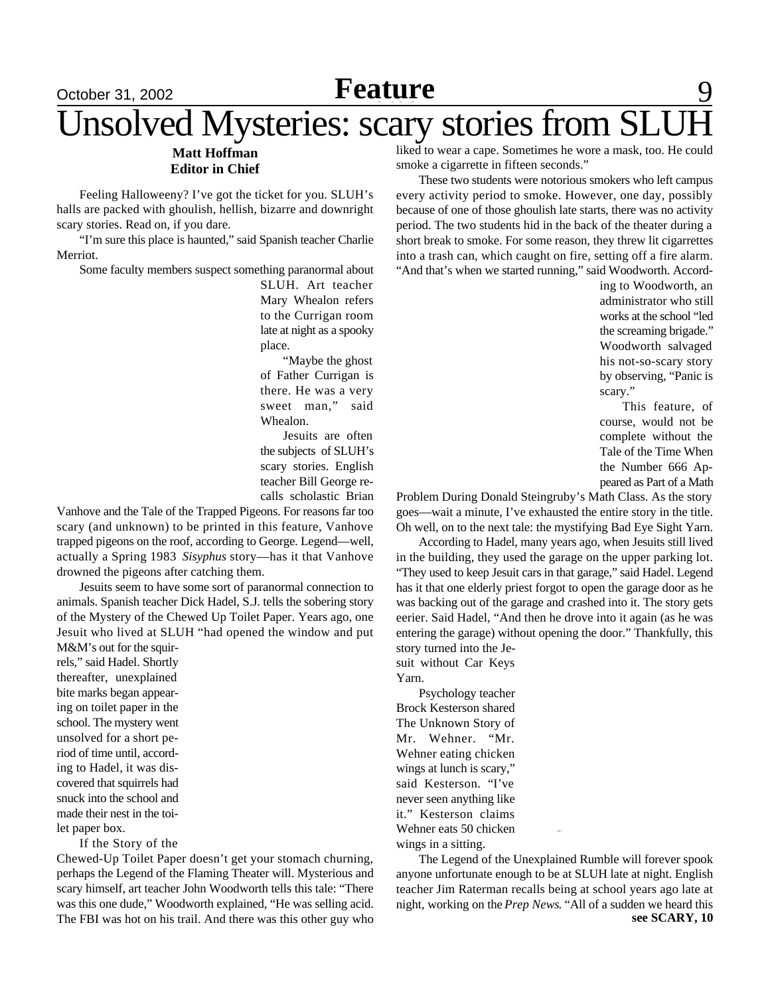### <u>October 31, 2002 **Feature** 9</u> **Feature**

# Unsolved Mysteries: scary stories from SLUH

#### **Matt Hoffman Editor in Chief**

Feeling Halloweeny? I've got the ticket for you. SLUH's halls are packed with ghoulish, hellish, bizarre and downright scary stories. Read on, if you dare.

"I'm sure this place is haunted," said Spanish teacher Charlie Merriot.

Some faculty members suspect something paranormal about

SLUH. Art teacher Mary Whealon refers to the Currigan room late at night as a spooky place.

"Maybe the ghost of Father Currigan is there. He was a very sweet man," said Whealon.

Jesuits are often the subjects of SLUH's scary stories. English teacher Bill George recalls scholastic Brian

Vanhove and the Tale of the Trapped Pigeons. For reasons far too scary (and unknown) to be printed in this feature, Vanhove trapped pigeons on the roof, according to George. Legend—well, actually a Spring 1983 *Sisyphus* story—has it that Vanhove drowned the pigeons after catching them.

Jesuits seem to have some sort of paranormal connection to animals. Spanish teacher Dick Hadel, S.J. tells the sobering story of the Mystery of the Chewed Up Toilet Paper. Years ago, one Jesuit who lived at SLUH "had opened the window and put

M&M's out for the squirrels," said Hadel. Shortly thereafter, unexplained bite marks began appearing on toilet paper in the school. The mystery went unsolved for a short period of time until, according to Hadel, it was discovered that squirrels had snuck into the school and made their nest in the toilet paper box.

If the Story of the

Chewed-Up Toilet Paper doesn't get your stomach churning, perhaps the Legend of the Flaming Theater will. Mysterious and scary himself, art teacher John Woodworth tells this tale: "There was this one dude," Woodworth explained, "He was selling acid. The FBI was hot on his trail. And there was this other guy who

liked to wear a cape. Sometimes he wore a mask, too. He could smoke a cigarrette in fifteen seconds."

These two students were notorious smokers who left campus every activity period to smoke. However, one day, possibly because of one of those ghoulish late starts, there was no activity period. The two students hid in the back of the theater during a short break to smoke. For some reason, they threw lit cigarrettes into a trash can, which caught on fire, setting off a fire alarm. "And that's when we started running," said Woodworth. Accord-

> ing to Woodworth, an administrator who still works at the school "led the screaming brigade." Woodworth salvaged his not-so-scary story by observing, "Panic is scary."

> This feature, of course, would not be complete without the Tale of the Time When the Number 666 Appeared as Part of a Math

Problem During Donald Steingruby's Math Class. As the story goes—wait a minute, I've exhausted the entire story in the title. Oh well, on to the next tale: the mystifying Bad Eye Sight Yarn.

According to Hadel, many years ago, when Jesuits still lived in the building, they used the garage on the upper parking lot. "They used to keep Jesuit cars in that garage," said Hadel. Legend has it that one elderly priest forgot to open the garage door as he was backing out of the garage and crashed into it. The story gets eerier. Said Hadel, "And then he drove into it again (as he was entering the garage) without opening the door." Thankfully, this story turned into the Je-

suit without Car Keys Yarn.

Psychology teacher Brock Kesterson shared The Unknown Story of Mr. Wehner. "Mr. Wehner eating chicken wings at lunch is scary," said Kesterson. "I've never seen anything like it." Kesterson claims Wehner eats 50 chicken wings in a sitting.

The Legend of the Unexplained Rumble will forever spook anyone unfortunate enough to be at SLUH late at night. English teacher Jim Raterman recalls being at school years ago late at night, working on the *Prep News*. "All of a sudden we heard this **see SCARY, 10**